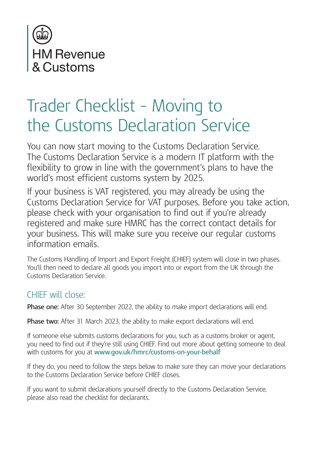

# Trader Checklist – Moving to the Customs Declaration Service

You can now start moving to the Customs Declaration Service. The Customs Declaration Service is a modern IT platform with the flexibility to grow in line with the government's plans to have the world's most efficient customs system by 2025.

If your business is VAT registered, you may already be using the Customs Declaration Service for VAT purposes. Before you take action, please check with your organisation to find out if you're already registered and make sure HMRC has the correct contact details for your business. This will make sure you receive our regular customs information emails.

The Customs Handling of Import and Export Freight (CHIEF) system will close in two phases. You'll then need to declare all goods you import into or export from the UK through the Customs Declaration Service.

# CHIEF will close:

**Phase one:** After 30 September 2022, the ability to make import declarations will end.

**Phase two:** After 31 March 2023, the ability to make export declarations will end.

If someone else submits customs declarations for you, such as a customs broker or agent, you need to find out if they're still using CHIEF. Find out more about getting someone to deal with customs for you at **www.gov.uk/hmrc/customs-on-your-behalf**

If they do, you need to follow the steps below to make sure they can move your declarations to the Customs Declaration Service before CHIEF closes.

If you want to submit declarations yourself directly to the Customs Declaration Service, please also read the checklist for declarants.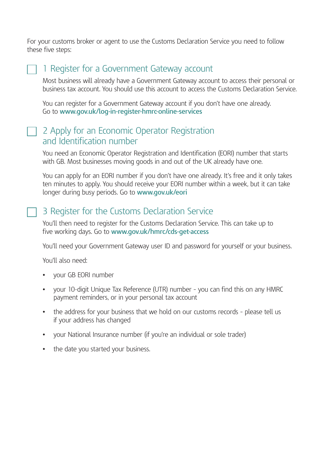For your customs broker or agent to use the Customs Declaration Service you need to follow these five steps:

#### 1 Register for a Government Gateway account

Most business will already have a Government Gateway account to access their personal or business tax account. You should use this account to access the Customs Declaration Service.

You can register for a Government Gateway account if you don't have one already. Go to **www.gov.uk/log-in-register-hmrc-online-services**

#### 2 Apply for an Economic Operator Registration and Identification number

You need an Economic Operator Registration and Identification (EORI) number that starts with GB. Most businesses moving goods in and out of the UK already have one.

You can apply for an EORI number if you don't have one already. It's free and it only takes ten minutes to apply. You should receive your EORI number within a week, but it can take longer during busy periods. Go to **www.gov.uk/eori**

# 3 Register for the Customs Declaration Service

You'll then need to register for the Customs Declaration Service. This can take up to five working days. Go to **www.gov.uk/hmrc/cds-get-access**

You'll need your Government Gateway user ID and password for yourself or your business.

You'll also need:

- **•** your GB EORI number
- **•** your 10-digit Unique Tax Reference (UTR) number you can find this on any HMRC payment reminders, or in your personal tax account
- **•** the address for your business that we hold on our customs records please tell us if your address has changed
- **•** your National Insurance number (if you're an individual or sole trader)
- **•** the date you started your business.